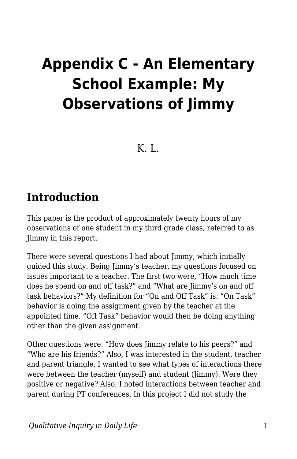## **Appendix C - An Elementary School Example: My Observations of Jimmy**

K. L.

## **Introduction**

This paper is the product of approximately twenty hours of my observations of one student in my third grade class, referred to as Jimmy in this report.

There were several questions I had about Jimmy, which initially guided this study. Being Jimmy's teacher, my questions focused on issues important to a teacher. The first two were, "How much time does he spend on and off task?" and "What are Jimmy's on and off task behaviors?" My definition for "On and Off Task" is: "On Task" behavior is doing the assignment given by the teacher at the appointed time. "Off Task" behavior would then be doing anything other than the given assignment.

Other questions were: "How does Jimmy relate to his peers?" and "Who are his friends?" Also, I was interested in the student, teacher and parent triangle. I wanted to see what types of interactions there were between the teacher (myself) and student (Jimmy). Were they positive or negative? Also, I noted interactions between teacher and parent during PT conferences. In this project I did not study the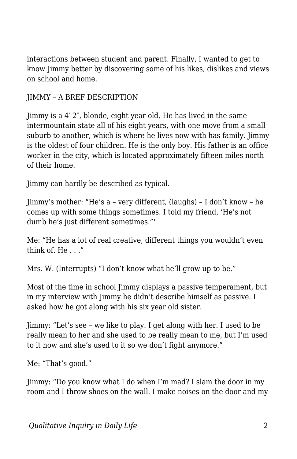interactions between student and parent. Finally, I wanted to get to know Jimmy better by discovering some of his likes, dislikes and views on school and home.

## JIMMY – A BREF DESCRIPTION

Jimmy is a 4′ 2″, blonde, eight year old. He has lived in the same intermountain state all of his eight years, with one move from a small suburb to another, which is where he lives now with has family. Jimmy is the oldest of four children. He is the only boy. His father is an office worker in the city, which is located approximately fifteen miles north of their home.

Jimmy can hardly be described as typical.

Jimmy's mother: "He's a – very different, (laughs) – I don't know – he comes up with some things sometimes. I told my friend, 'He's not dumb he's just different sometimes."'

Me: "He has a lot of real creative, different things you wouldn't even think of. He . . ."

Mrs. W. (Interrupts) "I don't know what he'll grow up to be."

Most of the time in school Jimmy displays a passive temperament, but in my interview with Jimmy he didn't describe himself as passive. I asked how he got along with his six year old sister.

Jimmy: "Let's see – we like to play. I get along with her. I used to be really mean to her and she used to be really mean to me, but I'm used to it now and she's used to it so we don't fight anymore."

Me: "That's good."

Jimmy: "Do you know what I do when I'm mad? I slam the door in my room and I throw shoes on the wall. I make noises on the door and my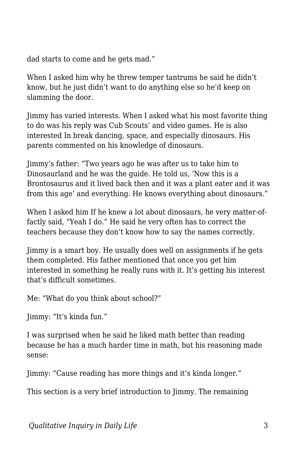dad starts to come and he gets mad."

When I asked him why he threw temper tantrums he said he didn't know, but he just didn't want to do anything else so he'd keep on slamming the door.

Jimmy has varied interests. When I asked what his most favorite thing to do was his reply was Cub Scouts' and video games. He is also interested In break dancing, space, and especially dinosaurs. His parents commented on his knowledge of dinosaurs.

Jimmy's father: "Two years ago he was after us to take him to Dinosaurland and he was the guide. He told us, 'Now this is a Brontosaurus and it lived back then and it was a plant eater and it was from this age' and everything. He knows everything about dinosaurs."

When I asked him If he knew a lot about dinosaurs, he very matter-offactly said, "Yeah I do." He said he very often has to correct the teachers because they don't know how to say the names correctly.

Jimmy is a smart boy. He usually does well on assignments if he gets them completed. His father mentioned that once you get him interested in something he really runs with it. It's getting his interest that's difficult sometimes.

Me: "What do you think about school?"

Jimmy: "It's kinda fun."

I was surprised when he said he liked math better than reading because he has a much harder time in math, but his reasoning made sense:

Jimmy: "Cause reading has more things and it's kinda longer."

This section is a very brief introduction to Jimmy. The remaining

*Qualitative Inquiry in Daily Life* 3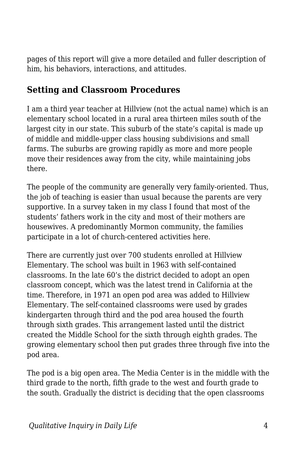pages of this report will give a more detailed and fuller description of him, his behaviors, interactions, and attitudes.

## **Setting and Classroom Procedures**

I am a third year teacher at Hillview (not the actual name) which is an elementary school located in a rural area thirteen miles south of the largest city in our state. This suburb of the state's capital is made up of middle and middle-upper class housing subdivisions and small farms. The suburbs are growing rapidly as more and more people move their residences away from the city, while maintaining jobs there.

The people of the community are generally very family-oriented. Thus, the job of teaching is easier than usual because the parents are very supportive. In a survey taken in my class I found that most of the students' fathers work in the city and most of their mothers are housewives. A predominantly Mormon community, the families participate in a lot of church-centered activities here.

There are currently just over 700 students enrolled at Hillview Elementary. The school was built in 1963 with self-contained classrooms. In the late 60's the district decided to adopt an open classroom concept, which was the latest trend in California at the time. Therefore, in 1971 an open pod area was added to Hillview Elementary. The self-contained classrooms were used by grades kindergarten through third and the pod area housed the fourth through sixth grades. This arrangement lasted until the district created the Middle School for the sixth through eighth grades. The growing elementary school then put grades three through five into the pod area.

The pod is a big open area. The Media Center is in the middle with the third grade to the north, fifth grade to the west and fourth grade to the south. Gradually the district is deciding that the open classrooms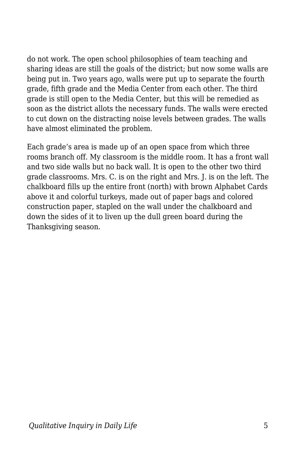do not work. The open school philosophies of team teaching and sharing ideas are still the goals of the district; but now some walls are being put in. Two years ago, walls were put up to separate the fourth grade, fifth grade and the Media Center from each other. The third grade is still open to the Media Center, but this will be remedied as soon as the district allots the necessary funds. The walls were erected to cut down on the distracting noise levels between grades. The walls have almost eliminated the problem.

Each grade's area is made up of an open space from which three rooms branch off. My classroom is the middle room. It has a front wall and two side walls but no back wall. It is open to the other two third grade classrooms. Mrs. C. is on the right and Mrs. J. is on the left. The chalkboard fills up the entire front (north) with brown Alphabet Cards above it and colorful turkeys, made out of paper bags and colored construction paper, stapled on the wall under the chalkboard and down the sides of it to liven up the dull green board during the Thanksgiving season.